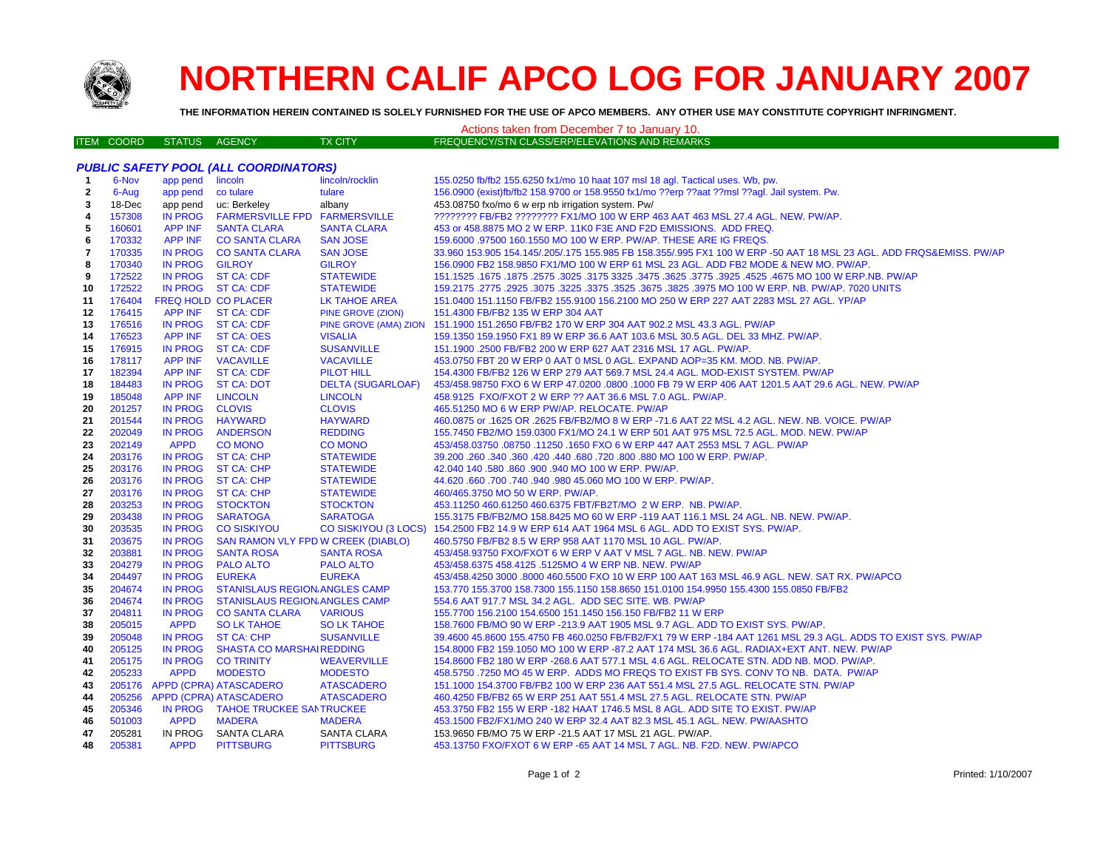

# **NORTHERN CALIF APCO LOG FOR JANUARY 2007**

**THE INFORMATION HEREIN CONTAINED IS SOLELY FURNISHED FOR THE USE OF APCO MEMBERS. ANY OTHER USE MAY CONSTITUTE COPYRIGHT INFRINGMENT.**

## Actions taken from December 7 to January 10.

| ITEM COORD STATUS AGENCY |  |  | <b>TX CITY</b> | FREQUENCY/STN CLASS/ERP/ELEVATIONS AND REMARKS |
|--------------------------|--|--|----------------|------------------------------------------------|
|--------------------------|--|--|----------------|------------------------------------------------|

|              | <b>PUBLIC SAFETY POOL (ALL COORDINATORS)</b> |                  |                                      |                          |                                                                                                                     |  |  |
|--------------|----------------------------------------------|------------------|--------------------------------------|--------------------------|---------------------------------------------------------------------------------------------------------------------|--|--|
| $\mathbf{1}$ | 6-Nov                                        | app pend lincoln |                                      | lincoln/rocklin          | 155.0250 fb/fb2 155.6250 fx1/mo 10 haat 107 msl 18 agl. Tactical uses. Wb, pw.                                      |  |  |
| $\mathbf{2}$ | 6-Aug                                        | app pend         | co tulare                            | tulare                   | 156.0900 (exist)fb/fb2 158.9700 or 158.9550 fx1/mo ??erp ??aat ??msl ??agl. Jail system. Pw.                        |  |  |
| 3            | 18-Dec                                       | app pend         | uc: Berkeley                         | albany                   | 453.08750 fxo/mo 6 w erp nb irrigation system. Pw/                                                                  |  |  |
| 4            | 157308                                       | <b>IN PROG</b>   | <b>FARMERSVILLE FPD FARMERSVILLE</b> |                          | ???????? FB/FB2 ???????? FX1/MO 100 W ERP 463 AAT 463 MSL 27.4 AGL. NEW. PW/AP.                                     |  |  |
| 5            | 160601                                       | <b>APP INF</b>   | <b>SANTA CLARA</b>                   | <b>SANTA CLARA</b>       | 453 or 458.8875 MO 2 W ERP. 11K0 F3E AND F2D EMISSIONS. ADD FREQ.                                                   |  |  |
| 6            | 170332                                       | <b>APP INF</b>   | <b>CO SANTA CLARA</b>                | <b>SAN JOSE</b>          | 159,6000 .97500 160.1550 MO 100 W ERP. PW/AP. THESE ARE IG FREQS.                                                   |  |  |
| 7            | 170335                                       | <b>IN PROG</b>   | <b>CO SANTA CLARA</b>                | <b>SAN JOSE</b>          | 33.960 153.905 154.145/.205/.175 155.985 FB 158.355/.995 FX1 100 W ERP -50 AAT 18 MSL 23 AGL. ADD FRQS&EMISS. PW/AP |  |  |
| 8            | 170340                                       | <b>IN PROG</b>   | <b>GILROY</b>                        | <b>GILROY</b>            | 156.0900 FB2 158.9850 FX1/MO 100 W ERP 61 MSL 23 AGL. ADD FB2 MODE & NEW MO. PW/AP                                  |  |  |
| 9            | 172522                                       | <b>IN PROG</b>   | <b>ST CA: CDF</b>                    | <b>STATEWIDE</b>         | 151.1525 .1675 MO 100 W ERP.NB. PW/AP .525. 3775 .3475 .3475 .3475 .3475 .3175 .3025. 3775 .1675 .4675 .4675 .      |  |  |
| 10           | 172522                                       |                  | IN PROG ST CA: CDF                   | <b>STATEWIDE</b>         | 159.2175 .2775 .2925 .3075 .3225 .3675 .3825 .3975 MO 100 W ERP. NB. PW/AP. 7020 UNITS                              |  |  |
| 11           | 176404                                       |                  | <b>FREQ HOLD CO PLACER</b>           | LK TAHOE AREA            | 151.0400 151.1150 FB/FB2 155.9100 156.2100 MO 250 W ERP 227 AAT 2283 MSL 27 AGL. YP/AP                              |  |  |
| 12           | 176415                                       | <b>APP INF</b>   | <b>ST CA: CDF</b>                    | PINE GROVE (ZION)        | 151.4300 FB/FB2 135 W ERP 304 AAT                                                                                   |  |  |
| 13           | 176516                                       | <b>IN PROG</b>   | <b>ST CA: CDF</b>                    |                          | PINE GROVE (AMA) ZION 151.1900 151.2650 FB/FB2 170 W ERP 304 AAT 902.2 MSL 43.3 AGL. PW/AP                          |  |  |
| 14           | 176523                                       | APP INF          | ST CA: OES                           | <b>VISALIA</b>           | 159.1350 159.1950 FX1 89 W ERP 36.6 AAT 103.6 MSL 30.5 AGL. DEL 33 MHZ. PW/AP.                                      |  |  |
| 15           | 176915                                       | <b>IN PROG</b>   | <b>ST CA: CDF</b>                    | <b>SUSANVILLE</b>        | 151.1900.2500 FB/FB2 200 W ERP 627 AAT 2316 MSL 17 AGL, PW/AP.                                                      |  |  |
| 16           | 178117                                       | APP INF          | <b>VACAVILLE</b>                     | <b>VACAVILLE</b>         | 453.0750 FBT 20 W ERP 0 AAT 0 MSL 0 AGL. EXPAND AOP=35 KM. MOD. NB. PW/AP.                                          |  |  |
| 17           | 182394                                       | <b>APP INF</b>   | <b>ST CA: CDF</b>                    | <b>PILOT HILL</b>        | 154.4300 FB/FB2 126 W ERP 279 AAT 569.7 MSL 24.4 AGL. MOD-EXIST SYSTEM. PW/AP                                       |  |  |
| 18           | 184483                                       | <b>IN PROG</b>   | <b>ST CA: DOT</b>                    | <b>DELTA (SUGARLOAF)</b> | 453/458.98750 FXO 6 W ERP 47.0200 .0800 .1000 FB 79 W ERP 406 AAT 1201.5 AAT 29.6 AGL. NEW. PW/AP                   |  |  |
| 19           | 185048                                       | <b>APP INF</b>   | <b>LINCOLN</b>                       | <b>LINCOLN</b>           | 458.9125 FXO/FXOT 2 W ERP ?? AAT 36.6 MSL 7.0 AGL. PW/AP.                                                           |  |  |
| 20           | 201257                                       | <b>IN PROG</b>   | <b>CLOVIS</b>                        | <b>CLOVIS</b>            | 465.51250 MO 6 W ERP PW/AP. RELOCATE. PW/AP                                                                         |  |  |
| 21           | 201544                                       | <b>IN PROG</b>   | <b>HAYWARD</b>                       | <b>HAYWARD</b>           | 460.0875 or .1625 OR .2625 FB/FB2/MO 8 W ERP -71.6 AAT 22 MSL 4.2 AGL. NEW. NB. VOICE. PW/AP                        |  |  |
| 22           | 202049                                       | <b>IN PROG</b>   | <b>ANDERSON</b>                      | <b>REDDING</b>           | 155.7450 FB2/MO 159.0300 FX1/MO 24.1 W ERP 501 AAT 975 MSL 72.5 AGL. MOD. NEW. PW/AP                                |  |  |
| 23           | 202149                                       | <b>APPD</b>      | <b>CO MONO</b>                       | <b>CO MONO</b>           | 453/458.03750 .08750 .11250 .1650 FXO 6 W ERP 447 AAT 2553 MSL 7 AGL. PW/AP                                         |  |  |
| 24           | 203176                                       | <b>IN PROG</b>   | <b>ST CA: CHP</b>                    | <b>STATEWIDE</b>         | 39.200 .260 .340 .360 .420 .440 .680 .720 .800 .880 MO 100 W ERP. PW/AP.                                            |  |  |
| 25           | 203176                                       | <b>IN PROG</b>   | <b>ST CA: CHP</b>                    | <b>STATEWIDE</b>         | 42.040 140 .580 .860 .900 .940 MO 100 W ERP. PW/AP.                                                                 |  |  |
| 26           | 203176                                       | IN PROG          | <b>ST CA: CHP</b>                    | <b>STATEWIDE</b>         | 44.620 .660 .700 .740 .940 .980 45.060 MO 100 W ERP. PW/AP.                                                         |  |  |
| 27           | 203176                                       | <b>IN PROG</b>   | <b>ST CA: CHP</b>                    | <b>STATEWIDE</b>         | 460/465.3750 MO 50 W ERP. PW/AP.                                                                                    |  |  |
| 28           | 203253                                       | <b>IN PROG</b>   | <b>STOCKTON</b>                      | <b>STOCKTON</b>          | 453.11250 460.61250 460.6375 FBT/FB2T/MO 2 W ERP. NB. PW/AP.                                                        |  |  |
| 29           | 203438                                       | <b>IN PROG</b>   | <b>SARATOGA</b>                      | <b>SARATOGA</b>          | 155.3175 FB/FB2/MO 158.8425 MO 60 W ERP -119 AAT 116.1 MSL 24 AGL. NB. NEW. PW/AP.                                  |  |  |
| 30           | 203535                                       | <b>IN PROG</b>   | <b>CO SISKIYOU</b>                   |                          | CO SISKIYOU (3 LOCS) 154.2500 FB2 14.9 W ERP 614 AAT 1964 MSL 6 AGL. ADD TO EXIST SYS. PW/AP.                       |  |  |
| 31           | 203675                                       | <b>IN PROG</b>   | SAN RAMON VLY FPD W CREEK (DIABLO)   |                          | 460.5750 FB/FB2 8.5 W ERP 958 AAT 1170 MSL 10 AGL. PW/AP.                                                           |  |  |
| 32           | 203881                                       | <b>IN PROG</b>   | <b>SANTA ROSA</b>                    | <b>SANTA ROSA</b>        | 453/458.93750 FXO/FXOT 6 W ERP V AAT V MSL 7 AGL. NB. NEW. PW/AP                                                    |  |  |
| 33           | 204279                                       | <b>IN PROG</b>   | <b>PALO ALTO</b>                     | <b>PALO ALTO</b>         | 453/458.6375 458.4125 .5125MO 4 W ERP NB. NEW. PW/AP                                                                |  |  |
| 34           | 204497                                       | <b>IN PROG</b>   | <b>EUREKA</b>                        | <b>EUREKA</b>            | 453/458.4250 3000 .8000 460.5500 FXO 10 W ERP 100 AAT 163 MSL 46.9 AGL. NEW. SAT RX. PW/APCO                        |  |  |
| 35           | 204674                                       | <b>IN PROG</b>   | <b>STANISLAUS REGION ANGLES CAMP</b> |                          | 153.770 155.3700 158.7300 155.1150 158.8650 151.0100 154.9950 155.4300 155.0850 FB/FB2                              |  |  |
| 36           | 204674                                       | <b>IN PROG</b>   | <b>STANISLAUS REGION ANGLES CAMP</b> |                          | 554.6 AAT 917.7 MSL 34.2 AGL. ADD SEC SITE. WB. PW/AP                                                               |  |  |
| 37           | 204811                                       | <b>IN PROG</b>   | <b>CO SANTA CLARA</b>                | <b>VARIOUS</b>           | 155.7700 156.2100 154.6500 151.1450 156.150 FB/FB2 11 W ERP                                                         |  |  |
| 38           | 205015                                       | <b>APPD</b>      | <b>SO LK TAHOE</b>                   | <b>SO LK TAHOE</b>       | 158.7600 FB/MO 90 W ERP -213.9 AAT 1905 MSL 9.7 AGL. ADD TO EXIST SYS. PW/AP.                                       |  |  |
| 39           | 205048                                       | <b>IN PROG</b>   | ST CA: CHP                           | <b>SUSANVILLE</b>        | 39.4600 45.8600 155.4750 FB 460.0250 FB/FB2/FX1 79 W ERP -184 AAT 1261 MSL 29.3 AGL. ADDS TO EXIST SYS. PW/AP       |  |  |
| 40           | 205125                                       | <b>IN PROG</b>   | <b>SHASTA CO MARSHAIREDDING</b>      |                          | 154.8000 FB2 159.1050 MO 100 W ERP -87.2 AAT 174 MSL 36.6 AGL. RADIAX+EXT ANT. NEW. PW/AP                           |  |  |
| 41           | 205175                                       | <b>IN PROG</b>   | <b>CO TRINITY</b>                    | <b>WEAVERVILLE</b>       | 154.8600 FB2 180 W ERP -268.6 AAT 577.1 MSL 4.6 AGL. RELOCATE STN. ADD NB. MOD. PW/AP.                              |  |  |
| 42           | 205233                                       | <b>APPD</b>      | <b>MODESTO</b>                       | <b>MODESTO</b>           | 458.5750 .7250 MO 45 W ERP. ADDS MO FREQS TO EXIST FB SYS. CONV TO NB. DATA. PW/AP                                  |  |  |
| 43           |                                              |                  | 205176 APPD (CPRA) ATASCADERO        | <b>ATASCADERO</b>        | 151.1000 154.3700 FB/FB2 100 W ERP 236 AAT 551.4 MSL 27.5 AGL. RELOCATE STN. PW/AP                                  |  |  |
| 44           | 205256                                       |                  | APPD (CPRA) ATASCADERO               | <b>ATASCADERO</b>        | 460.4250 FB/FB2 65 W ERP 251 AAT 551.4 MSL 27.5 AGL. RELOCATE STN. PW/AP                                            |  |  |
| 45           | 205346                                       |                  | IN PROG TAHOE TRUCKEE SANTRUCKEE     |                          | 453.3750 FB2 155 W ERP -182 HAAT 1746.5 MSL 8 AGL. ADD SITE TO EXIST. PW/AP                                         |  |  |
| 46           | 501003                                       | <b>APPD</b>      | <b>MADERA</b>                        | <b>MADERA</b>            | 453.1500 FB2/FX1/MO 240 W ERP 32.4 AAT 82.3 MSL 45.1 AGL. NEW. PW/AASHTO                                            |  |  |
| 47           | 205281                                       | IN PROG          | SANTA CLARA                          | SANTA CLARA              | 153.9650 FB/MO 75 W ERP -21.5 AAT 17 MSL 21 AGL. PW/AP.                                                             |  |  |
| 48           | 205381                                       | <b>APPD</b>      | <b>PITTSBURG</b>                     | <b>PITTSBURG</b>         | 453.13750 FXO/FXOT 6 W ERP -65 AAT 14 MSL 7 AGL. NB. F2D. NEW. PW/APCO                                              |  |  |